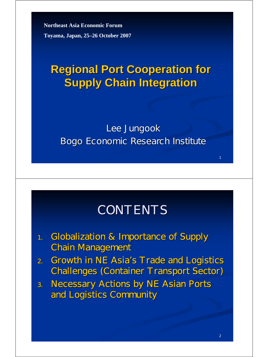**Northeast Asia Economic Forum Toyama, Japan, 25–26 October 2007**

## **Regional Port Cooperation for Supply Chain Integration Supply Chain Integration**

#### Lee Jungook Bogo Economic Research Institute

### **CONTENTS**

- 1. Globalization & Importance of Supply **Chain Management**
- 2. Growth in NE Asia's Trade and Logistics Challenges (Container Transport Sector) Challenges (Container Transport Sector)
- 3. Necessary Actions by NE Asian Ports and Logistics Community and Logistics Community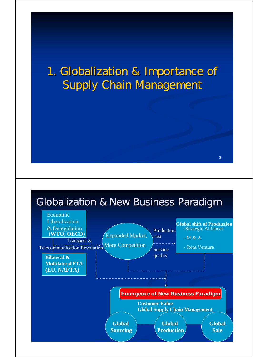### 1. Globalization & Importance of 1. Globalization & Importance of **Supply Chain Management**

#### Globalization & New Business Paradigm Globalization & New Business Paradigm

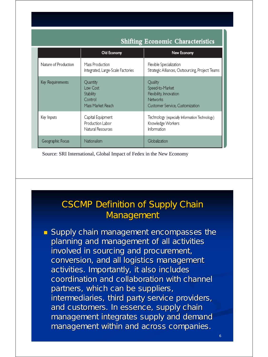| $-$                  |                                                                   |                                                                                                             |  |  |  |
|----------------------|-------------------------------------------------------------------|-------------------------------------------------------------------------------------------------------------|--|--|--|
|                      | Old Economy                                                       | New Economy                                                                                                 |  |  |  |
| Nature of Production | Mass Production<br>Integrated, Large-Scale Factories              | Flexible Specialization<br>Strategic Alliances, Outsourcing, Project Teams                                  |  |  |  |
| Key Requirements     | Quantity<br>Low Cost<br>Stability<br>Control<br>Mass Market Reach | Quality<br>Speed-to-Market<br>Flexibility, Innovation<br><b>Networks</b><br>Customer Service, Customization |  |  |  |
| Key Inputs           | Capital Equipment<br>Production Labor<br>Natural Resources        | Technology (especially Information Technology)<br>Knowledge Workers<br>Information                          |  |  |  |
| Geographic Focus     | Nationalism                                                       | Globalization                                                                                               |  |  |  |

**Shifting Economic Characteristics** 

<sup>5</sup> Source: SRI International, Global Impact of Fedex in the New Economy

#### **CSCMP Definition of Supply Chain** Management

**Supply chain management encompasses the** planning and management of all activities involved in sourcing and procurement, conversion, and all logistics management activities. Importantly, it also includes coordination and collaboration with channel coordination and collaboration with channel partners, which can be suppliers, intermediaries, third party service providers, and customers. In essence, supply chain management integrates supply and demand management within and across companies.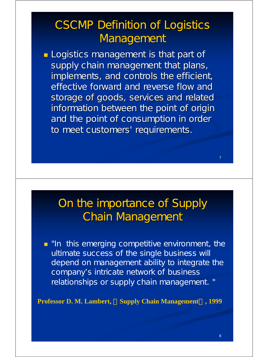## **CSCMP Definition of Logistics** Management

**Logistics management is that part of** supply chain management that plans, implements, and controls the efficient, effective forward and reverse flow and storage of goods, services and related information between the point of origin and the point of consumption in order to meet customers' requirements.

### On the importance of Supply **Chain Management**

**I** "In this emerging competitive environment, the ultimate success of the single business will depend on management ability to integrate the company's intricate network of business relationships or supply chain management. "

**Professor D. M. Lambert, Supply Chain Management**, 1999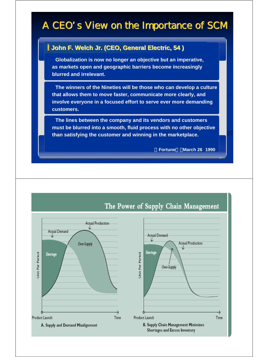#### A CEO's View on the Importance of SCM

#### **John F. Welch Jr. (CEO, General Electric, 54 ) John F. Welch Jr. (CEO, General Electric, 54 )**

**Globalization is now no longer an objective but an imperative, Globalization is now no longer an objective but an imperative, as markets open and geographic barriers become increasingly as markets open and geographic barriers become increasingly blurred and irrelevant. blurred and irrelevant.**

**The winners of the Nineties will be those who can develop a culture The winners of the Nineties will be those who can develop a culture that allows them to move faster, communicate more clearly, and that allows them to move faster, communicate more clearly, and involve everyone in a focused effort to serve ever more demanding customers. customers.**

**The lines between the company and its vendors and customers The lines between the company and its vendors and customers must be blurred into a smooth, fluid process with no other objective must be blurred into a smooth, fluid process with no other objective than satisfying the customer and winning in the marketplace. than satisfying the customer and winning in the marketplace.**

「**Fortune**」,**March 26 1990** 「**Fortune**」,**March 26 1990**

9

10

#### Actual Production Actual Demand Actual Demand Actual Production Over-Supply Shortage Period Shortage Period Per Unit Per Over-Supply Unic . . . . . . . . . . . . . . Product Launch Product Launch Time Time **B. Supply Chain Management Minimizes** A. Supply and Demand Misalignment Shortages and Excess Inventory

#### The Power of Supply Chain Management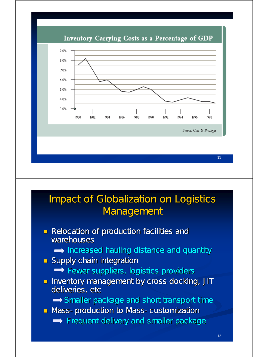Inventory Carrying Costs as a Percentage of GDP



#### **Impact of Globalization on Logistics** Management

- **Relocation of production facilities and** warehouses
	- $\rightarrow$  Increased hauling distance and quantity
- $\blacksquare$  Supply chain integration
	- $\rightarrow$  Fewer suppliers, logistics providers
- **Inventory management by cross docking, JIT** deliveries, etc
	- $\rightarrow$  Smaller package and short transport time
- Mass-production to Mass-customization
	- $\rightarrow$  Frequent delivery and smaller package

11

Source: Cass & ProLogis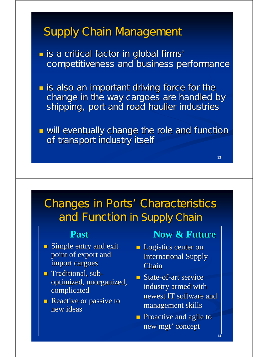### **Supply Chain Management**

is a critical factor in global firms' competitiveness and business performance

 $\blacksquare$  is also an important driving force for the change in the way cargoes are handled by shipping, port and road haulier industries

**u** will eventually change the role and function of transport industry itself

13

14

## Changes in Ports' Characteristics and Function in Supply Chain

| Past                                                                                                                                                                                | <b>Now &amp; Future</b>                                                                                                                                                                                        |
|-------------------------------------------------------------------------------------------------------------------------------------------------------------------------------------|----------------------------------------------------------------------------------------------------------------------------------------------------------------------------------------------------------------|
| $\blacksquare$ Simple entry and exit<br>point of export and<br>import cargoes<br>Traditional, sub-<br>optimized, unorganized,<br>complicated<br>Reactive or passive to<br>new ideas | <b>Logistics center on</b><br><b>International Supply</b><br>Chain<br>State-of-art service<br>industry armed with<br>newest IT software and<br>management skills<br>Proactive and agile to<br>new mgt' concept |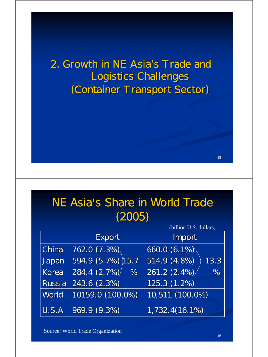2. Growth in NE Asia's Trade and Logistics Challenges Logistics Challenges (Container Transport Sector) (Container Transport Sector)

| NE Asia's Share in World Trade |        |  |  |
|--------------------------------|--------|--|--|
|                                | (2005) |  |  |

|        | (billion U.S. dollars) |                      |  |  |  |  |
|--------|------------------------|----------------------|--|--|--|--|
|        | Export                 | Import               |  |  |  |  |
| China  | 762.0(7.3%)            | 660.0 (6.1%)         |  |  |  |  |
| Japan  | 594.9 (5.7%) 15.7      | 514.9 (4.8%)<br>13.3 |  |  |  |  |
| Korea  | 284.4 (2.7%)<br>%      | 261.2(2.4%)<br>%     |  |  |  |  |
| Russia | 243.6(2.3%)            | $125.3(1.2\%)$       |  |  |  |  |
| World  | 10159.0 (100.0%)       | 10,511 (100.0%)      |  |  |  |  |
| U.S.A  | 969.9(9.3%)            | 1,732,4(16.1%)       |  |  |  |  |

Source: World Trade Organization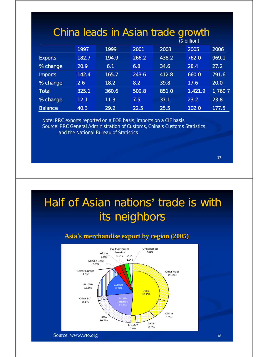| China leads in Asian trade growth<br>$$$ billion) |       |       |       |       |         |         |  |
|---------------------------------------------------|-------|-------|-------|-------|---------|---------|--|
|                                                   | 1997  | 1999  | 2001  | 2003  | 2005    | 2006    |  |
| <b>Exports</b>                                    | 182.7 | 194.9 | 266.2 | 438.2 | 762.0   | 969.1   |  |
| % change                                          | 20.9  | 6.1   | 6.8   | 34.6  | 28.4    | 27.2    |  |
| <b>Imports</b>                                    | 142.4 | 165.7 | 243.6 | 412.8 | 660.0   | 791.6   |  |
| % change                                          | 2.6   | 18.2  | 8.2   | 39.8  | 17.6    | 20.0    |  |
| Total                                             | 325.1 | 360.6 | 509.8 | 851.0 | 1,421.9 | 1,760.7 |  |
| % change                                          | 12.1  | 11.3  | 7.5   | 37.1  | 23.2    | 23.8    |  |
| <b>Balance</b>                                    | 40.3  | 29.2  | 22.5  | 25.5  | 102.0   | 177.5   |  |

Note: PRC exports reported on a FOB basis; imports on a CIF basis Source: PRC General Administration of Customs, *China's Customs Statistics*; and the National Bureau of Statistics

17

## Half of Asian nations' trade is with its neighbors

#### **Asia**'**s merchandise export by region (2005) merchandise export by region (2005)**

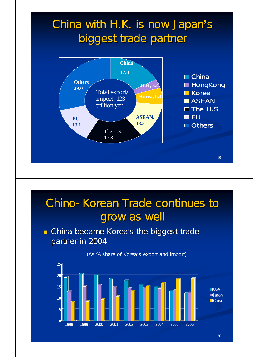## China with H.K. is now Japan's biggest trade partner



## Chino-Korean Trade continues to grow as well

 $\blacksquare$  China became Korea's the biggest trade partner in 2004



20

#### (As % share of Korea's export and import)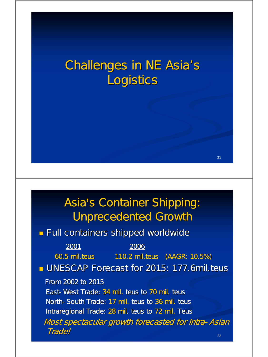# **Challenges in NE Asia's** Logistics

## Asia's Container Shipping: Unprecedented Growth Unprecedented Growth

 $21$ 

**Full containers shipped worldwide** 

| 2001                                              | 2006 |                                                           |
|---------------------------------------------------|------|-----------------------------------------------------------|
| 60.5 mil. teus                                    |      | 110.2 mil. teus (AAGR: 10.5%)                             |
| UNESCAP Forecast for 2015: 177.6mil. teus         |      |                                                           |
| From 2002 to 2015                                 |      |                                                           |
| East-West Trade: 34 mil. teus to 70 mil. teus     |      |                                                           |
| North-South Trade: 17 mil. teus to 36 mil. teus   |      |                                                           |
| Intraregional Trade: 28 mil. teus to 72 mil. Teus |      |                                                           |
|                                                   |      | <b>Most spectacular growth forecasted for Intra-Asian</b> |
| <b>Trade!</b>                                     |      | 22                                                        |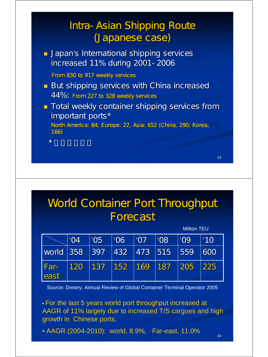#### Intra-Asian Shipping Route (Japanese case)

**Japan's International shipping services** increased 11% during 2001-2006

From 830 to 917 weekly services

 $\star$  the distribution of  $\sim$ 

- $\blacksquare$  But shipping services with China increased 44%: From 227 to 328 weekly services
- **Total weekly container shipping services from** important ports\*

North America: 84, Europe: 22, Asia: 652 (China, 290; Korea, 166)

World Container Port Throughput **Forecast** 

|                                                     |               |                 |                         |            |                  | <b>Million TEU</b> |               |
|-----------------------------------------------------|---------------|-----------------|-------------------------|------------|------------------|--------------------|---------------|
|                                                     | $^{\circ}$ O4 | <sup>''05</sup> | '06                     | $\mid$ '07 | '08              | 'OP'               | $^{\prime}10$ |
| $\sqrt{100}$ $\sqrt{358}$ $\sqrt{397}$ $\sqrt{432}$ |               |                 |                         |            | $\sqrt{473}$ 515 | 559                | 1600          |
| <b>Far-</b><br>east                                 | 120           | $\vert$ 137     | $\vert$ 152   169   187 |            |                  | 205                | 225           |

Source: Drewry, Annual Review of Global Container Terminal Operator 2005

• For the last 5 years world port throughput increased at AAGR of 11% largely due to increased T/S cargoes and high growth in Chinese ports.

• AAGR (2004-2010): world, 8.9%, Far-east, 11.0%

24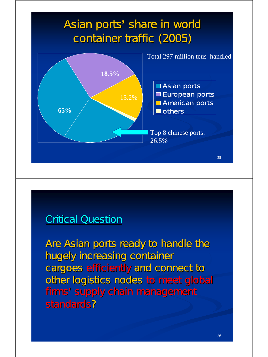## Asian ports' share in world container traffic (2005)



#### **Critical Question**

Are Asian ports ready to handle the hugely increasing container cargoes efficiently and connect to other logistics nodes to meet global firms' supply chain management standards?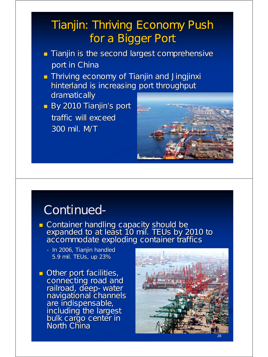## Tianjin: Thriving Economy Push for a Bigger Port

- **Tianjin is the second largest comprehensive** port in China
- **Thriving economy of Tianjin and Jingjinxi** hinterland is increasing port throughput dramatically
- By 2010 Tianjin's port traffic will exceed 300 mil. M/T 300 mil. M/T



### Continued-

- **Container handling capacity should be** expanded to at least 10 mil. TEUs by 2010 to accommodate exploding container traffics
	- In 2006, Tianjin handled 5.9 mil. TEUs, up 23%
- $\blacksquare$  Other port facilities, connecting road and railroad, deep-water navigational channels are indispensable, including the largest bulk cargo center in North China

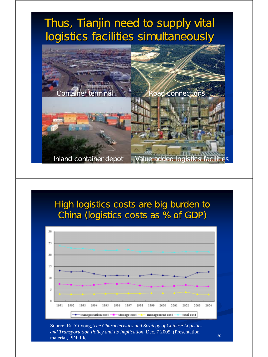

#### High logistics costs are big burden to China (logistics costs as % of GDP)



Source: Ru Yi-yong, *The Characteristics and Strategy of Chinese Logistics and Transportation Policy and Its Implication,* Dec. 7 2005. (Presentation material, PDF file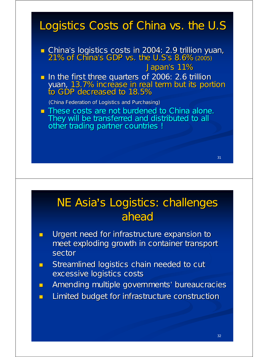### Logistics Costs of China vs. the U.S.

- China's logistics costs in 2004: 2.9 trillion yuan, 21% of China's GDP vs. the U.S's 8.6% (2005) Japan's 11%
- In the first three quarters of 2006: 2.6 trillion yuan, 13.7% increase in real term but its portion to GDP decreased to 18.5%

(China Federation of Logistics and Purchasing) (China Federation of Logistics and Purchasing)

**These costs are not burdened to China alone.** They will be transferred and distributed to all other trading partner countries !

## **NE Asia's Logistics: challenges** ahead

- **Urgent need for infrastructure expansion to** meet exploding growth in container transport meet exploding growth in container transport sector
- $\blacksquare$  Streamlined logistics chain needed to cut excessive logistics costs
- **Amending multiple governments' bureaucracies**
- **Limited budget for infrastructure construction**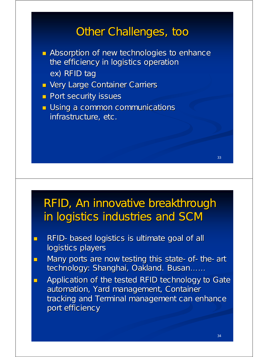#### Other Challenges, too

- $\blacksquare$  Absorption of new technologies to enhance the efficiency in logistics operation ex) RFID tag
- **U** Very Large Container Carriers
- **Port security issues**
- **Using a common communications** infrastructure, etc.

### RFID, An innovative breakthrough in logistics industries and SCM

- $RFD-$  based logistics is ultimate goal of all logistics players
- Many ports are now testing this state-of-the-art technology: Shanghai, Oakland. Busan......
- **Application of the tested RFID technology to Gate** automation, Yard management, Container tracking and Terminal management can enhance port efficiency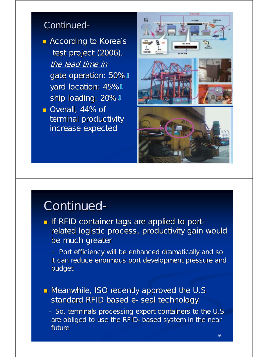#### Continued-

- $\blacksquare$  According to Korea's test project (2006), the lead time in gate operation: 50%  $\mathbb{I}$ yard location: 45% ! ship loading: 20%  $\downarrow$
- Overall, 44% of terminal productivity increase expected increase expected



## Continued-

- If RFID container tags are applied to portrelated logistic process, productivity gain would be much greater
	- Port efficiency will be enhanced dramatically and so it can reduce enormous port development pressure and budget
- Meanwhile, ISO recently approved the U.S standard RFID based e-seal technology
	- So, terminals processing export containers to the U.S are obliged to use the RFID-based system in the near future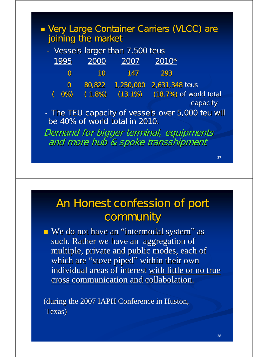| Very Large Container Carriers (VLCC) are<br>joining the market                      |                |        |                                  |                                 |                          |  |
|-------------------------------------------------------------------------------------|----------------|--------|----------------------------------|---------------------------------|--------------------------|--|
|                                                                                     |                |        | - Vessels larger than 7,500 teus |                                 |                          |  |
|                                                                                     | 1995           | 2000   | 2007                             | $2010*$                         |                          |  |
|                                                                                     | $\mathbf 0$    | 10     | 147                              | 293                             |                          |  |
|                                                                                     | $\overline{O}$ |        |                                  | 80,822 1,250,000 2,631,348 teus |                          |  |
| C                                                                                   | <b>O%</b>      | (1.8%) | $(13.1\%)$                       |                                 | $(18.7%)$ of world total |  |
|                                                                                     |                |        |                                  |                                 | capacity                 |  |
| - The TEU capacity of vessels over 5,000 teu will<br>be 40% of world total in 2010. |                |        |                                  |                                 |                          |  |
| <b>Demand for bigger terminal, equipments</b>                                       |                |        |                                  |                                 |                          |  |
| and more hub & spoke transshipment                                                  |                |        |                                  |                                 |                          |  |

### An Honest confession of port community

We do not have an "intermodal system" as such. Rather we have an aggregation of multiple, private and public modes, each of which are "stove piped" within their own individual areas of interest with little or no true cross communication and collabolation.

(during the 2007 IAPH Conference in Huston, (during the 2007 IAPH Conference in Huston, Texas)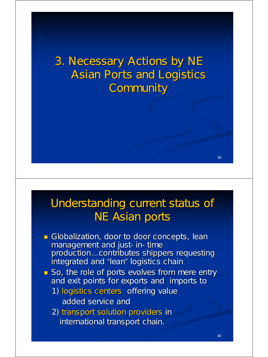3. Necessary Actions by NE **Asian Ports and Logistics Community** 

#### Understanding current status of **NE Asian ports**

- Globalization, door to door concepts, lean management and just- in-time production...contributes shippers requesting integrated and "lean" logistics chain
- So, the role of ports evolves from mere entry and exit points for exports and imports to
	- 1) logistics centers offering value added service and
	- 2) transport solution providers in international transport chain.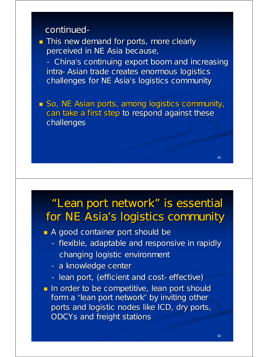#### continued-

**This new demand for ports, more clearly** perceived in NE Asia because,

- China's continuing export boom and increasing intra-Asian trade creates enormous logistics challenges for NE Asia's logistics community

 $\blacksquare$  So, NE Asian ports, among logistics community, can take a first step to respond against these challenges

### "Lean port network" is essential for NE Asia's logistics community

A good container port should be

- flexible, adaptable and responsive in rapidly changing logistic environment
- a knowledge center
- lean port, (efficient and cost-effective)
- **In order to be competitive, lean port should** form a "lean port network" by inviting other ports and logistic nodes like ICD, dry ports, ODCYs and freight stations

 $\overline{11}$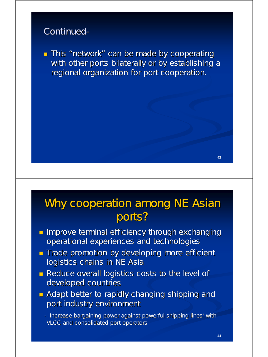#### Continued-

 $\blacksquare$  This "network" can be made by cooperating with other ports bilaterally or by establishing a regional organization for port cooperation.

### Why cooperation among NE Asian ports?

- **Improve terminal efficiency through exchanging** operational experiences and technologies
- **Trade promotion by developing more efficient** logistics chains in NE Asia
- **Reduce overall logistics costs to the level of** developed countries
- $\blacksquare$  Adapt better to rapidly changing shipping and port industry environment

- Increase bargaining power against powerful shipping lines' with VLCC and consolidated port operators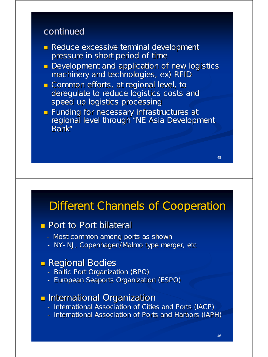#### continued

- Reduce excessive terminal development pressure in short period of time
- **Development and application of new logistics** machinery and technologies, ex) RFID
- Common efforts, at regional level, to deregulate to reduce logistics costs and speed up logistics processing
- **Funding for necessary infrastructures at Funding for necessary infrastructures at** regional level through "NE Asia Development Bank"

#### Different Channels of Cooperation

#### $\Box$  Port to Port bilateral

- Most common among ports as shown
- NY-NJ, Copenhagen/Malmo type merger, etc

#### **Regional Bodies**

- Baltic Port Organization (BPO)
- European Seaports Organization (ESPO)

#### **International Organization**

- International Association of Cities and Ports (IACP)
- International Association of Ports and Harbors (IAPH)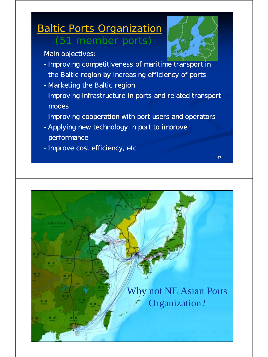### **Baltic Ports Organization** (51 member ports)



47

Main objectives:

- -Improving competitiveness of maritime transport in the Baltic region by increasing efficiency of ports
- -Marketing the Baltic region
- -Improving infrastructure in ports and related transport modes
- -Improving cooperation with port users and operators
- -Applying new technology in port to improve performance
- -Improve cost efficiency, etc